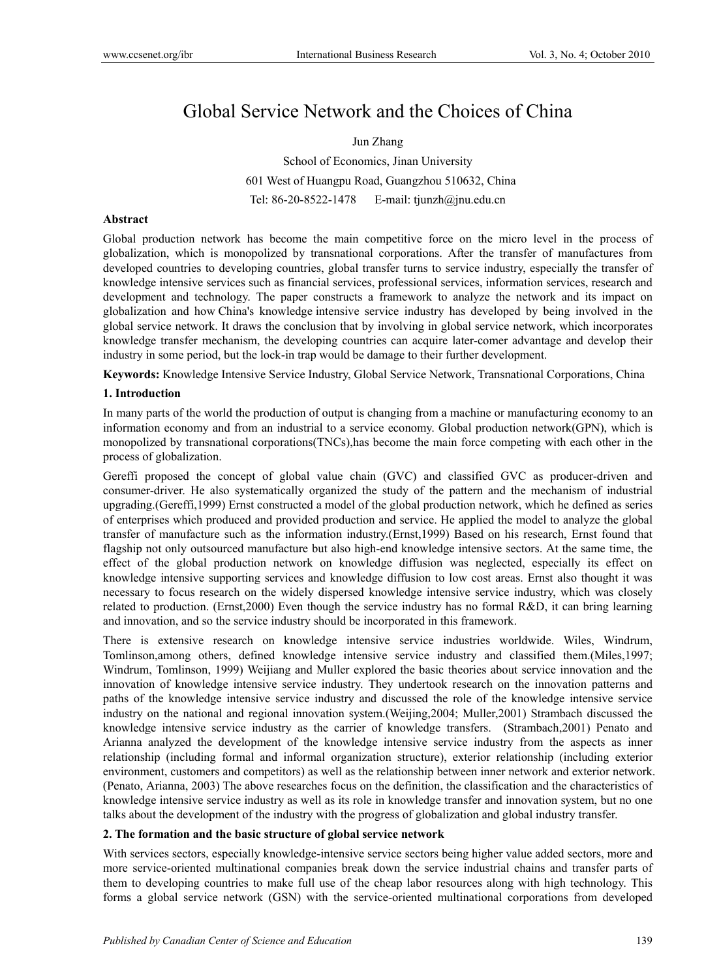# Global Service Network and the Choices of China

Jun Zhang

School of Economics, Jinan University 601 West of Huangpu Road, Guangzhou 510632, China Tel: 86-20-8522-1478 E-mail: tjunzh@jnu.edu.cn

#### **Abstract**

Global production network has become the main competitive force on the micro level in the process of globalization, which is monopolized by transnational corporations. After the transfer of manufactures from developed countries to developing countries, global transfer turns to service industry, especially the transfer of knowledge intensive services such as financial services, professional services, information services, research and development and technology. The paper constructs a framework to analyze the network and its impact on globalization and how China's knowledge intensive service industry has developed by being involved in the global service network. It draws the conclusion that by involving in global service network, which incorporates knowledge transfer mechanism, the developing countries can acquire later-comer advantage and develop their industry in some period, but the lock-in trap would be damage to their further development.

**Keywords:** Knowledge Intensive Service Industry, Global Service Network, Transnational Corporations, China

#### **1. Introduction**

In many parts of the world the production of output is changing from a machine or manufacturing economy to an information economy and from an industrial to a service economy. Global production network(GPN), which is monopolized by transnational corporations(TNCs),has become the main force competing with each other in the process of globalization.

Gereffi proposed the concept of global value chain (GVC) and classified GVC as producer-driven and consumer-driver. He also systematically organized the study of the pattern and the mechanism of industrial upgrading.(Gereffi,1999) Ernst constructed a model of the global production network, which he defined as series of enterprises which produced and provided production and service. He applied the model to analyze the global transfer of manufacture such as the information industry.(Ernst,1999) Based on his research, Ernst found that flagship not only outsourced manufacture but also high-end knowledge intensive sectors. At the same time, the effect of the global production network on knowledge diffusion was neglected, especially its effect on knowledge intensive supporting services and knowledge diffusion to low cost areas. Ernst also thought it was necessary to focus research on the widely dispersed knowledge intensive service industry, which was closely related to production. (Ernst,2000) Even though the service industry has no formal R&D, it can bring learning and innovation, and so the service industry should be incorporated in this framework.

There is extensive research on knowledge intensive service industries worldwide. Wiles, Windrum, Tomlinson,among others, defined knowledge intensive service industry and classified them.(Miles,1997; Windrum, Tomlinson, 1999) Weijiang and Muller explored the basic theories about service innovation and the innovation of knowledge intensive service industry. They undertook research on the innovation patterns and paths of the knowledge intensive service industry and discussed the role of the knowledge intensive service industry on the national and regional innovation system.(Weijing,2004; Muller,2001) Strambach discussed the knowledge intensive service industry as the carrier of knowledge transfers. (Strambach,2001) Penato and Arianna analyzed the development of the knowledge intensive service industry from the aspects as inner relationship (including formal and informal organization structure), exterior relationship (including exterior environment, customers and competitors) as well as the relationship between inner network and exterior network. (Penato, Arianna, 2003) The above researches focus on the definition, the classification and the characteristics of knowledge intensive service industry as well as its role in knowledge transfer and innovation system, but no one talks about the development of the industry with the progress of globalization and global industry transfer.

## **2. The formation and the basic structure of global service network**

With services sectors, especially knowledge-intensive service sectors being higher value added sectors, more and more service-oriented multinational companies break down the service industrial chains and transfer parts of them to developing countries to make full use of the cheap labor resources along with high technology. This forms a global service network (GSN) with the service-oriented multinational corporations from developed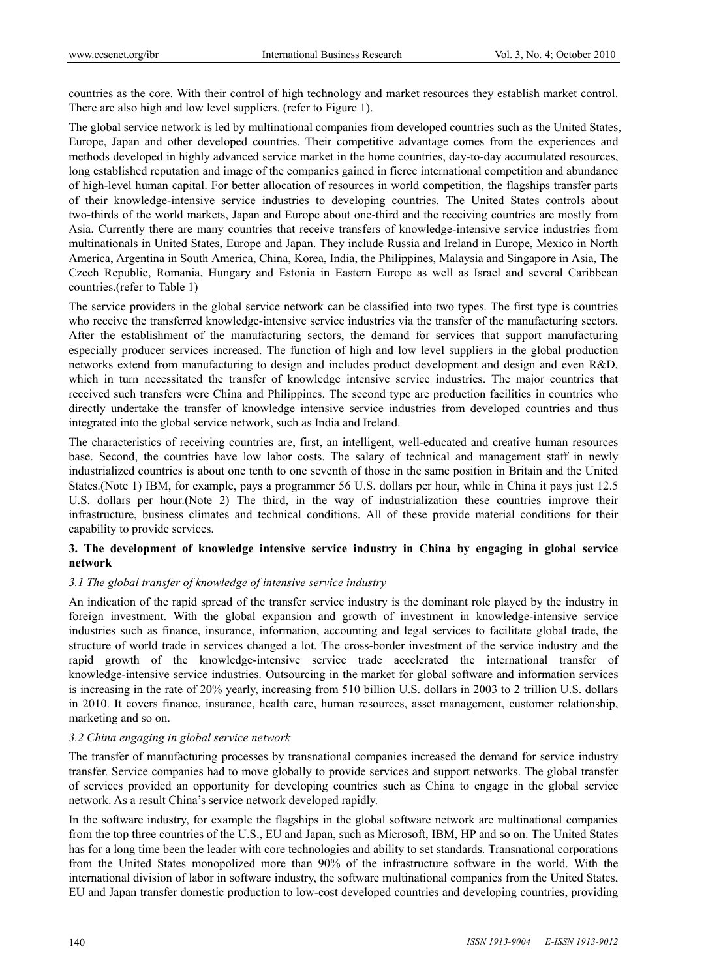countries as the core. With their control of high technology and market resources they establish market control. There are also high and low level suppliers. (refer to Figure 1).

The global service network is led by multinational companies from developed countries such as the United States, Europe, Japan and other developed countries. Their competitive advantage comes from the experiences and methods developed in highly advanced service market in the home countries, day-to-day accumulated resources, long established reputation and image of the companies gained in fierce international competition and abundance of high-level human capital. For better allocation of resources in world competition, the flagships transfer parts of their knowledge-intensive service industries to developing countries. The United States controls about two-thirds of the world markets, Japan and Europe about one-third and the receiving countries are mostly from Asia. Currently there are many countries that receive transfers of knowledge-intensive service industries from multinationals in United States, Europe and Japan. They include Russia and Ireland in Europe, Mexico in North America, Argentina in South America, China, Korea, India, the Philippines, Malaysia and Singapore in Asia, The Czech Republic, Romania, Hungary and Estonia in Eastern Europe as well as Israel and several Caribbean countries.(refer to Table 1)

The service providers in the global service network can be classified into two types. The first type is countries who receive the transferred knowledge-intensive service industries via the transfer of the manufacturing sectors. After the establishment of the manufacturing sectors, the demand for services that support manufacturing especially producer services increased. The function of high and low level suppliers in the global production networks extend from manufacturing to design and includes product development and design and even R&D, which in turn necessitated the transfer of knowledge intensive service industries. The major countries that received such transfers were China and Philippines. The second type are production facilities in countries who directly undertake the transfer of knowledge intensive service industries from developed countries and thus integrated into the global service network, such as India and Ireland.

The characteristics of receiving countries are, first, an intelligent, well-educated and creative human resources base. Second, the countries have low labor costs. The salary of technical and management staff in newly industrialized countries is about one tenth to one seventh of those in the same position in Britain and the United States.(Note 1) IBM, for example, pays a programmer 56 U.S. dollars per hour, while in China it pays just 12.5 U.S. dollars per hour.(Note 2) The third, in the way of industrialization these countries improve their infrastructure, business climates and technical conditions. All of these provide material conditions for their capability to provide services.

# **3. The development of knowledge intensive service industry in China by engaging in global service network**

# *3.1 The global transfer of knowledge of intensive service industry*

An indication of the rapid spread of the transfer service industry is the dominant role played by the industry in foreign investment. With the global expansion and growth of investment in knowledge-intensive service industries such as finance, insurance, information, accounting and legal services to facilitate global trade, the structure of world trade in services changed a lot. The cross-border investment of the service industry and the rapid growth of the knowledge-intensive service trade accelerated the international transfer of knowledge-intensive service industries. Outsourcing in the market for global software and information services is increasing in the rate of 20% yearly, increasing from 510 billion U.S. dollars in 2003 to 2 trillion U.S. dollars in 2010. It covers finance, insurance, health care, human resources, asset management, customer relationship, marketing and so on.

## *3.2 China engaging in global service network*

The transfer of manufacturing processes by transnational companies increased the demand for service industry transfer. Service companies had to move globally to provide services and support networks. The global transfer of services provided an opportunity for developing countries such as China to engage in the global service network. As a result China's service network developed rapidly.

In the software industry, for example the flagships in the global software network are multinational companies from the top three countries of the U.S., EU and Japan, such as Microsoft, IBM, HP and so on. The United States has for a long time been the leader with core technologies and ability to set standards. Transnational corporations from the United States monopolized more than 90% of the infrastructure software in the world. With the international division of labor in software industry, the software multinational companies from the United States, EU and Japan transfer domestic production to low-cost developed countries and developing countries, providing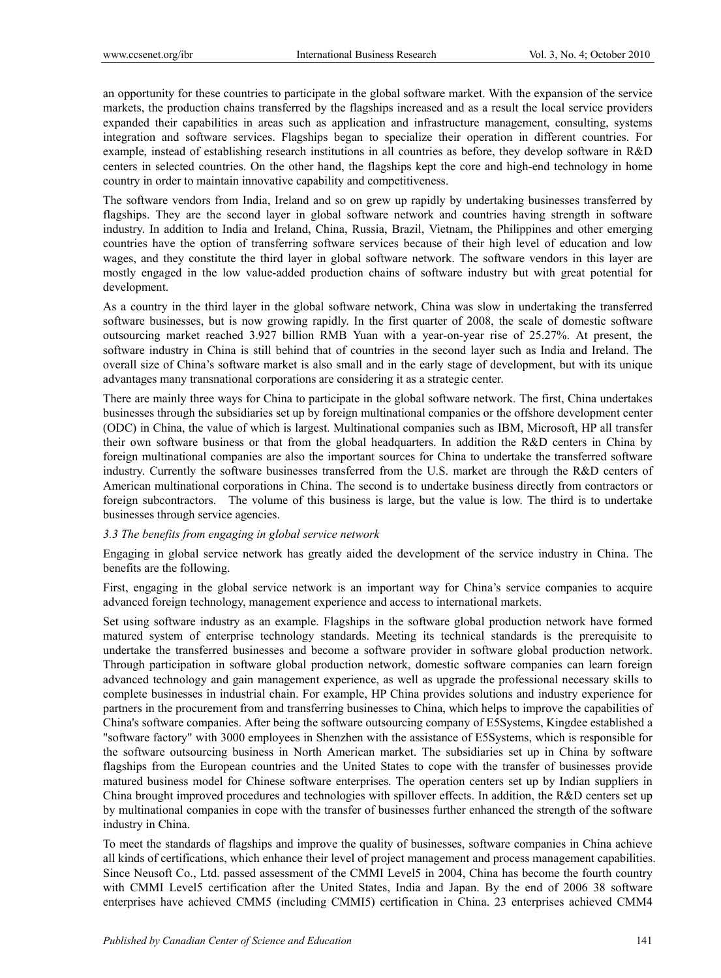an opportunity for these countries to participate in the global software market. With the expansion of the service markets, the production chains transferred by the flagships increased and as a result the local service providers expanded their capabilities in areas such as application and infrastructure management, consulting, systems integration and software services. Flagships began to specialize their operation in different countries. For example, instead of establishing research institutions in all countries as before, they develop software in R&D centers in selected countries. On the other hand, the flagships kept the core and high-end technology in home country in order to maintain innovative capability and competitiveness.

The software vendors from India, Ireland and so on grew up rapidly by undertaking businesses transferred by flagships. They are the second layer in global software network and countries having strength in software industry. In addition to India and Ireland, China, Russia, Brazil, Vietnam, the Philippines and other emerging countries have the option of transferring software services because of their high level of education and low wages, and they constitute the third layer in global software network. The software vendors in this layer are mostly engaged in the low value-added production chains of software industry but with great potential for development.

As a country in the third layer in the global software network, China was slow in undertaking the transferred software businesses, but is now growing rapidly. In the first quarter of 2008, the scale of domestic software outsourcing market reached 3.927 billion RMB Yuan with a year-on-year rise of 25.27%. At present, the software industry in China is still behind that of countries in the second layer such as India and Ireland. The overall size of China's software market is also small and in the early stage of development, but with its unique advantages many transnational corporations are considering it as a strategic center.

There are mainly three ways for China to participate in the global software network. The first, China undertakes businesses through the subsidiaries set up by foreign multinational companies or the offshore development center (ODC) in China, the value of which is largest. Multinational companies such as IBM, Microsoft, HP all transfer their own software business or that from the global headquarters. In addition the R&D centers in China by foreign multinational companies are also the important sources for China to undertake the transferred software industry. Currently the software businesses transferred from the U.S. market are through the R&D centers of American multinational corporations in China. The second is to undertake business directly from contractors or foreign subcontractors. The volume of this business is large, but the value is low. The third is to undertake businesses through service agencies.

## *3.3 The benefits from engaging in global service network*

Engaging in global service network has greatly aided the development of the service industry in China. The benefits are the following.

First, engaging in the global service network is an important way for China's service companies to acquire advanced foreign technology, management experience and access to international markets.

Set using software industry as an example. Flagships in the software global production network have formed matured system of enterprise technology standards. Meeting its technical standards is the prerequisite to undertake the transferred businesses and become a software provider in software global production network. Through participation in software global production network, domestic software companies can learn foreign advanced technology and gain management experience, as well as upgrade the professional necessary skills to complete businesses in industrial chain. For example, HP China provides solutions and industry experience for partners in the procurement from and transferring businesses to China, which helps to improve the capabilities of China's software companies. After being the software outsourcing company of E5Systems, Kingdee established a "software factory" with 3000 employees in Shenzhen with the assistance of E5Systems, which is responsible for the software outsourcing business in North American market. The subsidiaries set up in China by software flagships from the European countries and the United States to cope with the transfer of businesses provide matured business model for Chinese software enterprises. The operation centers set up by Indian suppliers in China brought improved procedures and technologies with spillover effects. In addition, the R&D centers set up by multinational companies in cope with the transfer of businesses further enhanced the strength of the software industry in China.

To meet the standards of flagships and improve the quality of businesses, software companies in China achieve all kinds of certifications, which enhance their level of project management and process management capabilities. Since Neusoft Co., Ltd. passed assessment of the CMMI Level5 in 2004, China has become the fourth country with CMMI Level5 certification after the United States, India and Japan. By the end of 2006 38 software enterprises have achieved CMM5 (including CMMI5) certification in China. 23 enterprises achieved CMM4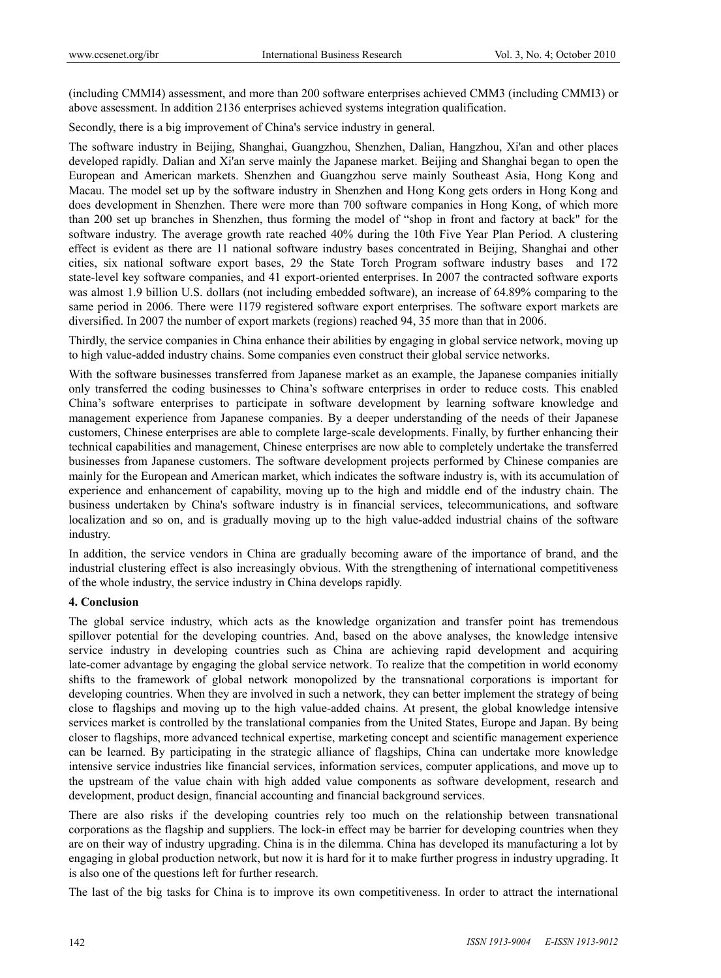(including CMMI4) assessment, and more than 200 software enterprises achieved CMM3 (including CMMI3) or above assessment. In addition 2136 enterprises achieved systems integration qualification.

Secondly, there is a big improvement of China's service industry in general.

The software industry in Beijing, Shanghai, Guangzhou, Shenzhen, Dalian, Hangzhou, Xi'an and other places developed rapidly. Dalian and Xi'an serve mainly the Japanese market. Beijing and Shanghai began to open the European and American markets. Shenzhen and Guangzhou serve mainly Southeast Asia, Hong Kong and Macau. The model set up by the software industry in Shenzhen and Hong Kong gets orders in Hong Kong and does development in Shenzhen. There were more than 700 software companies in Hong Kong, of which more than 200 set up branches in Shenzhen, thus forming the model of "shop in front and factory at back" for the software industry. The average growth rate reached 40% during the 10th Five Year Plan Period. A clustering effect is evident as there are 11 national software industry bases concentrated in Beijing, Shanghai and other cities, six national software export bases, 29 the State Torch Program software industry bases and 172 state-level key software companies, and 41 export-oriented enterprises. In 2007 the contracted software exports was almost 1.9 billion U.S. dollars (not including embedded software), an increase of 64.89% comparing to the same period in 2006. There were 1179 registered software export enterprises. The software export markets are diversified. In 2007 the number of export markets (regions) reached 94, 35 more than that in 2006.

Thirdly, the service companies in China enhance their abilities by engaging in global service network, moving up to high value-added industry chains. Some companies even construct their global service networks.

With the software businesses transferred from Japanese market as an example, the Japanese companies initially only transferred the coding businesses to China's software enterprises in order to reduce costs. This enabled China's software enterprises to participate in software development by learning software knowledge and management experience from Japanese companies. By a deeper understanding of the needs of their Japanese customers, Chinese enterprises are able to complete large-scale developments. Finally, by further enhancing their technical capabilities and management, Chinese enterprises are now able to completely undertake the transferred businesses from Japanese customers. The software development projects performed by Chinese companies are mainly for the European and American market, which indicates the software industry is, with its accumulation of experience and enhancement of capability, moving up to the high and middle end of the industry chain. The business undertaken by China's software industry is in financial services, telecommunications, and software localization and so on, and is gradually moving up to the high value-added industrial chains of the software industry.

In addition, the service vendors in China are gradually becoming aware of the importance of brand, and the industrial clustering effect is also increasingly obvious. With the strengthening of international competitiveness of the whole industry, the service industry in China develops rapidly.

#### **4. Conclusion**

The global service industry, which acts as the knowledge organization and transfer point has tremendous spillover potential for the developing countries. And, based on the above analyses, the knowledge intensive service industry in developing countries such as China are achieving rapid development and acquiring late-comer advantage by engaging the global service network. To realize that the competition in world economy shifts to the framework of global network monopolized by the transnational corporations is important for developing countries. When they are involved in such a network, they can better implement the strategy of being close to flagships and moving up to the high value-added chains. At present, the global knowledge intensive services market is controlled by the translational companies from the United States, Europe and Japan. By being closer to flagships, more advanced technical expertise, marketing concept and scientific management experience can be learned. By participating in the strategic alliance of flagships, China can undertake more knowledge intensive service industries like financial services, information services, computer applications, and move up to the upstream of the value chain with high added value components as software development, research and development, product design, financial accounting and financial background services.

There are also risks if the developing countries rely too much on the relationship between transnational corporations as the flagship and suppliers. The lock-in effect may be barrier for developing countries when they are on their way of industry upgrading. China is in the dilemma. China has developed its manufacturing a lot by engaging in global production network, but now it is hard for it to make further progress in industry upgrading. It is also one of the questions left for further research.

The last of the big tasks for China is to improve its own competitiveness. In order to attract the international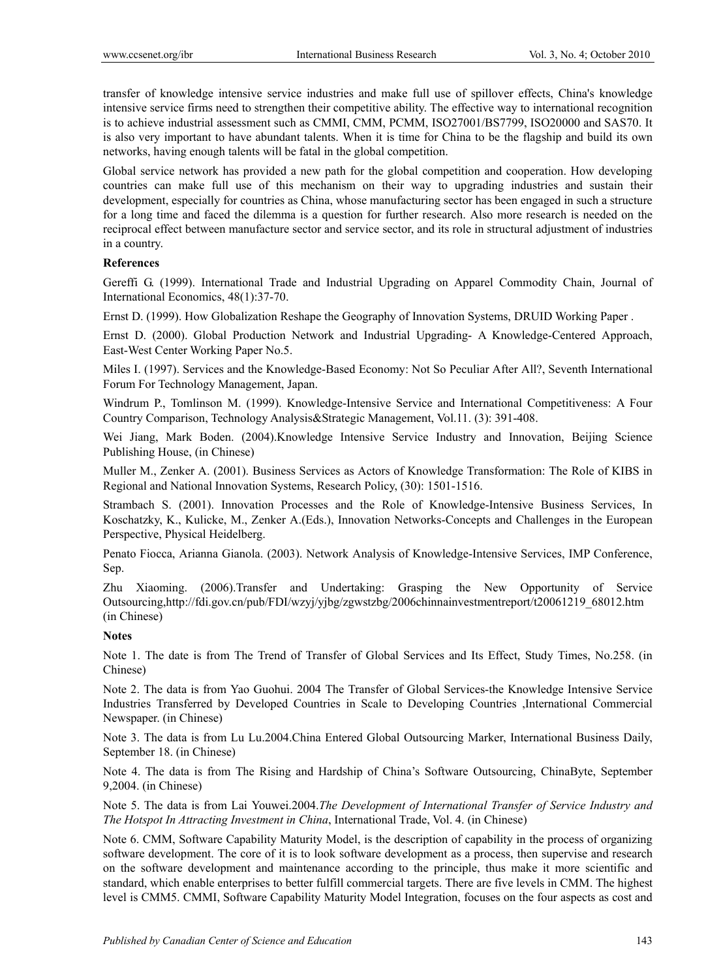transfer of knowledge intensive service industries and make full use of spillover effects, China's knowledge intensive service firms need to strengthen their competitive ability. The effective way to international recognition is to achieve industrial assessment such as CMMI, CMM, PCMM, ISO27001/BS7799, ISO20000 and SAS70. It is also very important to have abundant talents. When it is time for China to be the flagship and build its own networks, having enough talents will be fatal in the global competition.

Global service network has provided a new path for the global competition and cooperation. How developing countries can make full use of this mechanism on their way to upgrading industries and sustain their development, especially for countries as China, whose manufacturing sector has been engaged in such a structure for a long time and faced the dilemma is a question for further research. Also more research is needed on the reciprocal effect between manufacture sector and service sector, and its role in structural adjustment of industries in a country.

## **References**

Gereffi G. (1999). International Trade and Industrial Upgrading on Apparel Commodity Chain, Journal of International Economics, 48(1):37-70.

Ernst D. (1999). How Globalization Reshape the Geography of Innovation Systems, DRUID Working Paper .

Ernst D. (2000). Global Production Network and Industrial Upgrading- A Knowledge-Centered Approach, East-West Center Working Paper No.5.

Miles I. (1997). Services and the Knowledge-Based Economy: Not So Peculiar After All?, Seventh International Forum For Technology Management, Japan.

Windrum P., Tomlinson M. (1999). Knowledge-Intensive Service and International Competitiveness: A Four Country Comparison, Technology Analysis&Strategic Management, Vol.11. (3): 391-408.

Wei Jiang, Mark Boden. (2004).Knowledge Intensive Service Industry and Innovation, Beijing Science Publishing House, (in Chinese)

Muller M., Zenker A. (2001). Business Services as Actors of Knowledge Transformation: The Role of KIBS in Regional and National Innovation Systems, Research Policy, (30): 1501-1516.

Strambach S. (2001). Innovation Processes and the Role of Knowledge-Intensive Business Services, In Koschatzky, K., Kulicke, M., Zenker A.(Eds.), Innovation Networks-Concepts and Challenges in the European Perspective, Physical Heidelberg.

Penato Fiocca, Arianna Gianola. (2003). Network Analysis of Knowledge-Intensive Services, IMP Conference, Sep.

Zhu Xiaoming. (2006).Transfer and Undertaking: Grasping the New Opportunity of Service Outsourcing,http://fdi.gov.cn/pub/FDI/wzyj/yjbg/zgwstzbg/2006chinnainvestmentreport/t20061219\_68012.htm (in Chinese)

#### **Notes**

Note 1. The date is from The Trend of Transfer of Global Services and Its Effect, Study Times, No.258. (in Chinese)

Note 2. The data is from Yao Guohui. 2004 The Transfer of Global Services-the Knowledge Intensive Service Industries Transferred by Developed Countries in Scale to Developing Countries ,International Commercial Newspaper. (in Chinese)

Note 3. The data is from Lu Lu.2004.China Entered Global Outsourcing Marker, International Business Daily, September 18. (in Chinese)

Note 4. The data is from The Rising and Hardship of China's Software Outsourcing, ChinaByte, September 9,2004. (in Chinese)

Note 5. The data is from Lai Youwei.2004.*The Development of International Transfer of Service Industry and The Hotspot In Attracting Investment in China*, International Trade, Vol. 4. (in Chinese)

Note 6. CMM, Software Capability Maturity Model, is the description of capability in the process of organizing software development. The core of it is to look software development as a process, then supervise and research on the software development and maintenance according to the principle, thus make it more scientific and standard, which enable enterprises to better fulfill commercial targets. There are five levels in CMM. The highest level is CMM5. CMMI, Software Capability Maturity Model Integration, focuses on the four aspects as cost and